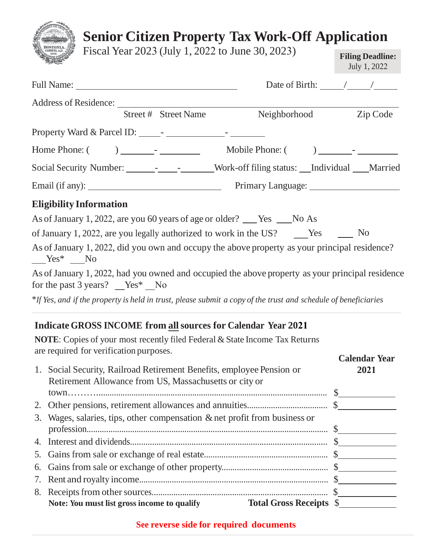| <b>Senior Citizen Property Tax Work-Off Application</b>                                                                              |                                         |  |  |
|--------------------------------------------------------------------------------------------------------------------------------------|-----------------------------------------|--|--|
| Fiscal Year 2023 (July 1, 2022 to June 30, 2023)                                                                                     | <b>Filing Deadline:</b><br>July 1, 2022 |  |  |
|                                                                                                                                      | Date of Birth: $\frac{\sqrt{2}}{2}$     |  |  |
| Address of Residence: New York Changes and School and Theorem 2014                                                                   |                                         |  |  |
| Street # Street Name<br>Neighborhood Zip Code                                                                                        |                                         |  |  |
|                                                                                                                                      |                                         |  |  |
|                                                                                                                                      |                                         |  |  |
| Social Security Number: ___________________Work-off filing status: __Individual ___Married                                           |                                         |  |  |
| Email (if any): <u>New American Community Primary Language:</u>                                                                      |                                         |  |  |
| <b>Eligibility Information</b>                                                                                                       |                                         |  |  |
| As of January 1, 2022, are you 60 years of age or older? ___ Yes ___ No As                                                           |                                         |  |  |
| of January 1, 2022, are you legally authorized to work in the US? No No                                                              |                                         |  |  |
| As of January 1, 2022, did you own and occupy the above property as your principal residence?<br>$Yes^*$ No                          |                                         |  |  |
| As of January 1, 2022, had you owned and occupied the above property as your principal residence<br>for the past 3 years? $Yes^*$ No |                                         |  |  |
| *If Yes, and if the property is held in trust, please submit a copy of the trust and schedule of beneficiaries                       |                                         |  |  |
| <b>Indicate GROSS INCOME from all sources for Calendar Year 2021</b>                                                                 |                                         |  |  |
| <b>NOTE:</b> Copies of your most recently filed Federal & State Income Tax Returns<br>are required for verification purposes.        |                                         |  |  |
| 1. Social Security, Railroad Retirement Benefits, employee Pension or<br>Retirement Allowance from US, Massachusetts or city or      | <b>Calendar Year</b><br>2021            |  |  |

| 3. Wages, salaries, tips, other compensation & net profit from business or    |  |
|-------------------------------------------------------------------------------|--|
|                                                                               |  |
|                                                                               |  |
|                                                                               |  |
|                                                                               |  |
|                                                                               |  |
|                                                                               |  |
| <b>Total Gross Receipts \$</b><br>Note: You must list gross income to qualify |  |

## **See reverse side for required documents**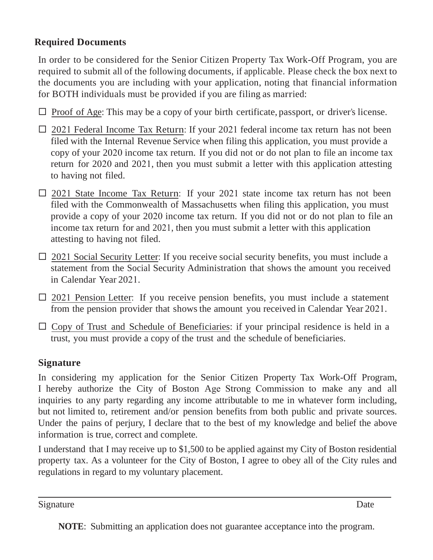## **Required Documents**

In order to be considered for the Senior Citizen Property Tax Work-Off Program, you are required to submit all of the following documents, if applicable. Please check the box next to the documents you are including with your application, noting that financial information for BOTH individuals must be provided if you are filing as married:

- $\Box$  Proof of Age: This may be a copy of your birth certificate, passport, or driver's license.
- $\Box$  2021 Federal Income Tax Return: If your 2021 federal income tax return has not been filed with the Internal Revenue Service when filing this application, you must provide a copy of your 2020 income tax return. If you did not or do not plan to file an income tax return for 2020 and 2021, then you must submit a letter with this application attesting to having not filed.
- $\Box$  2021 State Income Tax Return: If your 2021 state income tax return has not been filed with the Commonwealth of Massachusetts when filing this application, you must provide a copy of your 2020 income tax return. If you did not or do not plan to file an income tax return for and 2021, then you must submit a letter with this application attesting to having not filed.
- $\Box$  2021 Social Security Letter: If you receive social security benefits, you must include a statement from the Social Security Administration that shows the amount you received in Calendar Year 2021.
- $\Box$  2021 Pension Letter: If you receive pension benefits, you must include a statement from the pension provider that shows the amount you received in Calendar Year 2021.
- $\Box$  Copy of Trust and Schedule of Beneficiaries: if your principal residence is held in a trust, you must provide a copy of the trust and the schedule of beneficiaries.

## **Signature**

In considering my application for the Senior Citizen Property Tax Work-Off Program, I hereby authorize the City of Boston Age Strong Commission to make any and all inquiries to any party regarding any income attributable to me in whatever form including, but not limited to, retirement and/or pension benefits from both public and private sources. Under the pains of perjury, I declare that to the best of my knowledge and belief the above information is true, correct and complete.

I understand that I may receive up to \$1,500 to be applied against my City of Boston residential property tax. As a volunteer for the City of Boston, I agree to obey all of the City rules and regulations in regard to my voluntary placement.

Signature Date

**NOTE**: Submitting an application does not guarantee acceptance into the program.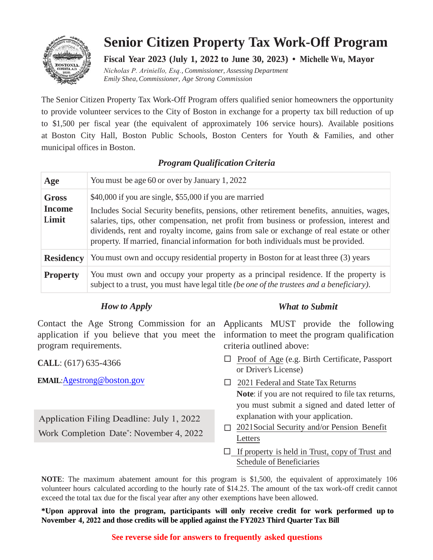

## **Senior Citizen Property Tax Work-Off Program**

**Fiscal Year 2023 (July 1, 2022 to June 30, 2023) • Michelle Wu, Mayor** 

*Nicholas P. Ariniello, Esq., Commissioner, Assessing Department Emily Shea, Commissioner, Age Strong Commission*

The Senior Citizen Property Tax Work-Off Program offers qualified senior homeowners the opportunity to provide volunteer services to the City of Boston in exchange for a property tax bill reduction of up to \$1,500 per fiscal year (the equivalent of approximately 106 service hours). Available positions at Boston City Hall, Boston Public Schools, Boston Centers for Youth & Families, and other municipal offices in Boston.

#### *Program Qualification Criteria*

| Age                                    | You must be age 60 or over by January 1, 2022                                                                                                                                                                                                                                                                                                                                                                                     |
|----------------------------------------|-----------------------------------------------------------------------------------------------------------------------------------------------------------------------------------------------------------------------------------------------------------------------------------------------------------------------------------------------------------------------------------------------------------------------------------|
| <b>Gross</b><br><b>Income</b><br>Limit | \$40,000 if you are single, \$55,000 if you are married<br>Includes Social Security benefits, pensions, other retirement benefits, annuities, wages,<br>salaries, tips, other compensation, net profit from business or profession, interest and<br>dividends, rent and royalty income, gains from sale or exchange of real estate or other<br>property. If married, financial information for both individuals must be provided. |
| <b>Residency</b>                       | You must own and occupy residential property in Boston for at least three (3) years                                                                                                                                                                                                                                                                                                                                               |
| <b>Property</b>                        | You must own and occupy your property as a principal residence. If the property is<br>subject to a trust, you must have legal title (be one of the trustees and a beneficiary).                                                                                                                                                                                                                                                   |

### *How to Apply*

Contact the Age Strong Commission for an application if you believe that you meet the program requirements.

**CALL**: (617) 635-4366

**EMAIL**:Agestrong@boston.gov

Application Filing Deadline: July 1, 2022 Work Completion Date\* : November 4, 2022

#### *What to Submit*

Applicants MUST provide the following information to meet the program qualification criteria outlined above:

- $\Box$  Proof of Age (e.g. Birth Certificate, Passport or Driver's License)
- □ 2021 Federal and State Tax Returns **Note**: if you are not required to file tax returns, you must submit a signed and dated letter of explanation with your application.
- □ 2021Social Security and/or Pension Benefit Letters
- $\Box$  If property is held in Trust, copy of Trust and Schedule of Beneficiaries

**NOTE**: The maximum abatement amount for this program is \$1,500, the equivalent of approximately 106 volunteer hours calculated according to the hourly rate of \$14.25. The amount of the tax work-off credit cannot exceed the total tax due for the fiscal year after any other exemptions have been allowed.

**\*Upon approval into the program, participants will only receive credit for work performed up to November 4, 2022 and those credits will be applied against the FY2023 Third Quarter Tax Bill**